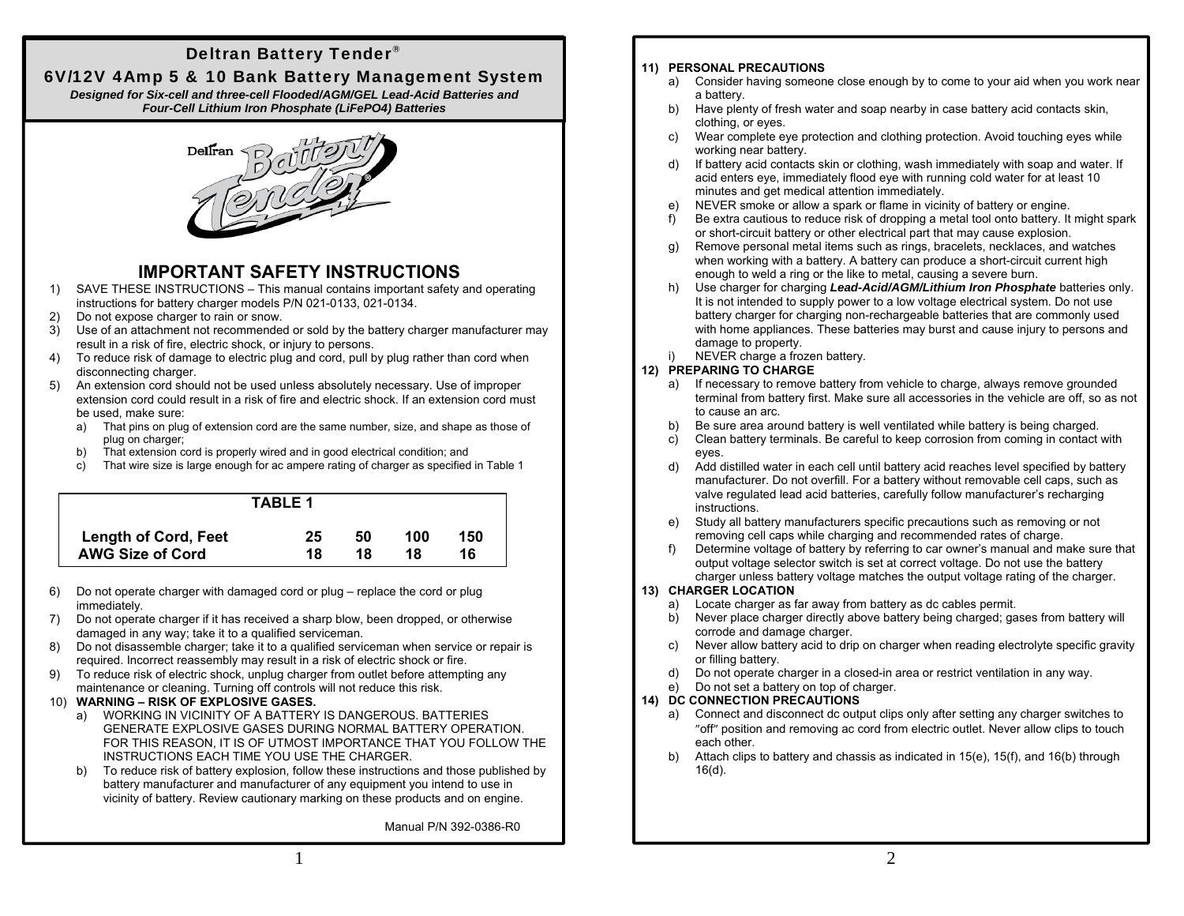## Deltran Battery Tender

## 6V/12V 4Amp 5 & 10 Bank Battery Management System

*Designed for Six-cell and three-cell Flooded/AGM/GEL Lead-Acid Batteries and Four-Cell Lithium Iron Phosphate (LiFePO4) Batteries*



## **IMPORTANT SAFETY INSTRUCTIONS**

- 1) SAVE THESE INSTRUCTIONS This manual contains important safety and operating instructions for battery charger models P/N 021-0133, 021-0134.
- 2) Do not expose charger to rain or snow.
- 3) Use of an attachment not recommended or sold by the battery charger manufacturer may result in a risk of fire, electric shock, or injury to persons.
- 4) To reduce risk of damage to electric plug and cord, pull by plug rather than cord when disconnecting charger.
- 5) An extension cord should not be used unless absolutely necessary. Use of improper extension cord could result in a risk of fire and electric shock. If an extension cord must be used, make sure:
	- a) That pins on plug of extension cord are the same number, size, and shape as those of plug on charger;
	- b) That extension cord is properly wired and in good electrical condition; and
	- c) That wire size is large enough for ac ampere rating of charger as specified in Table 1

| <b>TABLE 1</b>              |    |    |     |     |
|-----------------------------|----|----|-----|-----|
| <b>Length of Cord, Feet</b> | 25 | 50 | 100 | 150 |
| <b>AWG Size of Cord</b>     | 18 | 18 | 18  | 16  |

- 6) Do not operate charger with damaged cord or plug replace the cord or plug immediately.
- 7) Do not operate charger if it has received a sharp blow, been dropped, or otherwise damaged in any way; take it to a qualified serviceman.
- 8) Do not disassemble charger; take it to a qualified serviceman when service or repair is required. Incorrect reassembly may result in a risk of electric shock or fire.
- 9) To reduce risk of electric shock, unplug charger from outlet before attempting any maintenance or cleaning. Turning off controls will not reduce this risk.

### 10) **WARNING – RISK OF EXPLOSIVE GASES.**

- a) WORKING IN VICINITY OF A BATTERY IS DANGEROUS. BATTERIES GENERATE EXPLOSIVE GASES DURING NORMAL BATTERY OPERATION. FOR THIS REASON, IT IS OF UTMOST IMPORTANCE THAT YOU FOLLOW THE INSTRUCTIONS EACH TIME YOU USE THE CHARGER.
- b) To reduce risk of battery explosion, follow these instructions and those published by battery manufacturer and manufacturer of any equipment you intend to use in vicinity of battery. Review cautionary marking on these products and on engine.

1

Manual P/N 392-0386-R0

### **11) PERSONAL PRECAUTIONS**

- a) Consider having someone close enough by to come to your aid when you work near a battery.
- b) Have plenty of fresh water and soap nearby in case battery acid contacts skin, clothing, or eyes.
- c) Wear complete eye protection and clothing protection. Avoid touching eyes while working near battery.
- d) If battery acid contacts skin or clothing, wash immediately with soap and water. If acid enters eye, immediately flood eye with running cold water for at least 10 minutes and get medical attention immediately.
- e) NEVER smoke or allow a spark or flame in vicinity of battery or engine.
- f) Be extra cautious to reduce risk of dropping a metal tool onto battery. It might spark or short-circuit battery or other electrical part that may cause explosion.
- g) Remove personal metal items such as rings, bracelets, necklaces, and watches when working with a battery. A battery can produce a short-circuit current high enough to weld a ring or the like to metal, causing a severe burn.
- h) Use charger for charging *Lead-Acid/AGM/Lithium Iron Phosphate* batteries only. It is not intended to supply power to a low voltage electrical system. Do not use battery charger for charging non-rechargeable batteries that are commonly used with home appliances. These batteries may burst and cause injury to persons and damage to property.
- NEVER charge a frozen battery.

### **12) PREPARING TO CHARGE**

- a) If necessary to remove battery from vehicle to charge, always remove grounded terminal from battery first. Make sure all accessories in the vehicle are off, so as not to cause an arc.
- b) Be sure area around battery is well ventilated while battery is being charged.
- c) Clean battery terminals. Be careful to keep corrosion from coming in contact with eyes.
- d) Add distilled water in each cell until battery acid reaches level specified by battery manufacturer. Do not overfill. For a battery without removable cell caps, such as valve regulated lead acid batteries, carefully follow manufacturer's recharging instructions.
- e) Study all battery manufacturers specific precautions such as removing or not removing cell caps while charging and recommended rates of charge.
- f) Determine voltage of battery by referring to car owner's manual and make sure that output voltage selector switch is set at correct voltage. Do not use the battery charger unless battery voltage matches the output voltage rating of the charger.

### **13) CHARGER LOCATION**

- a) Locate charger as far away from battery as dc cables permit.
- b) Never place charger directly above battery being charged; gases from battery will corrode and damage charger.
- c) Never allow battery acid to drip on charger when reading electrolyte specific gravity or filling battery.
- d) Do not operate charger in a closed-in area or restrict ventilation in any way.
- Do not set a battery on top of charger.

### **14) DC CONNECTION PRECAUTIONS**

- a) Connect and disconnect dc output clips only after setting any charger switches to "off" position and removing ac cord from electric outlet. Never allow clips to touch each other.
- b) Attach clips to battery and chassis as indicated in 15(e), 15(f), and 16(b) through 16(d).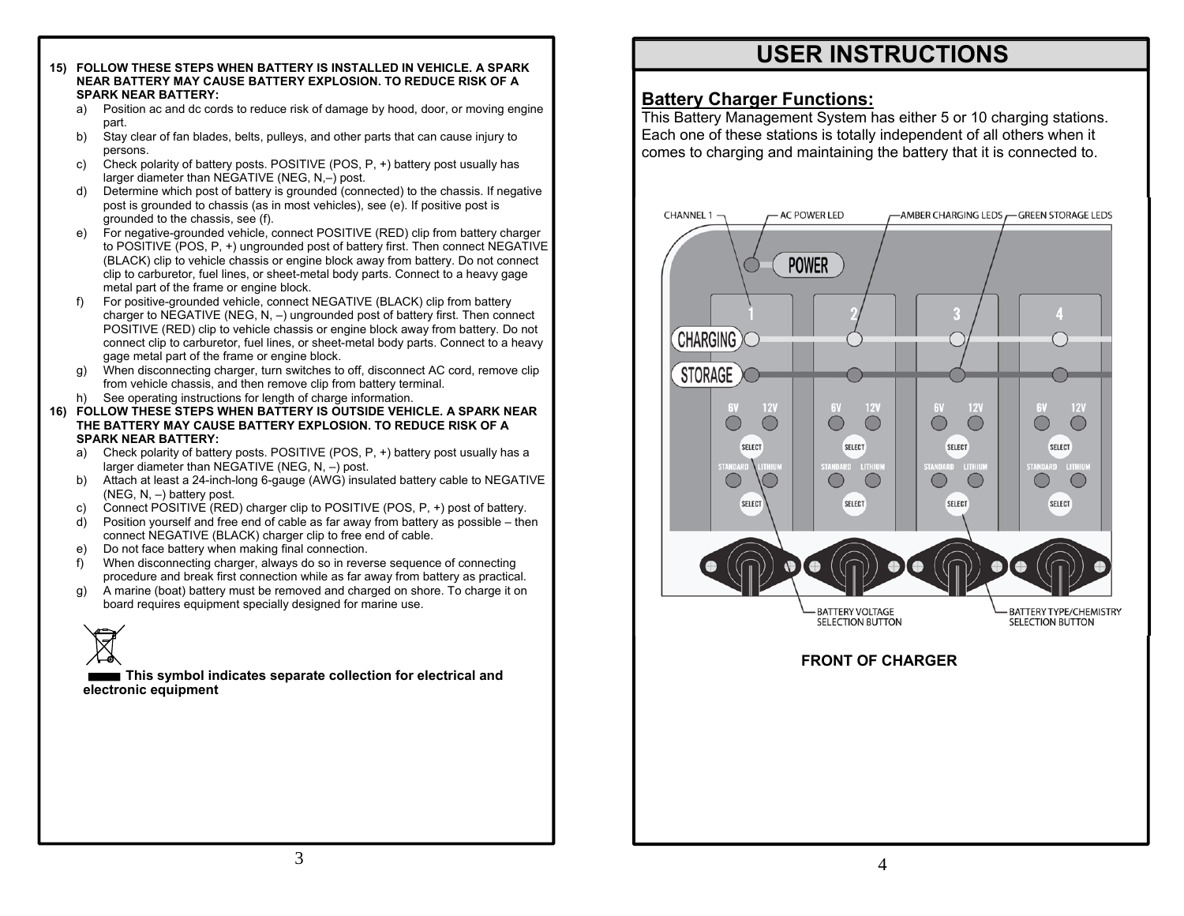- **15) FOLLOW THESE STEPS WHEN BATTERY IS INSTALLED IN VEHICLE. A SPARK NEAR BATTERY MAY CAUSE BATTERY EXPLOSION. TO REDUCE RISK OF A SPARK NEAR BATTERY:** 
	- a) Position ac and dc cords to reduce risk of damage by hood, door, or moving engine part.
	- b) Stay clear of fan blades, belts, pulleys, and other parts that can cause injury to persons.
	- c) Check polarity of battery posts. POSITIVE (POS, P, +) battery post usually has larger diameter than NEGATIVE (NEG, N,–) post.
	- d) Determine which post of battery is grounded (connected) to the chassis. If negative post is grounded to chassis (as in most vehicles), see (e). If positive post is grounded to the chassis, see (f).
	- e) For negative-grounded vehicle, connect POSITIVE (RED) clip from battery charger to POSITIVE (POS, P, +) ungrounded post of battery first. Then connect NEGATIVE (BLACK) clip to vehicle chassis or engine block away from battery. Do not connect clip to carburetor, fuel lines, or sheet-metal body parts. Connect to a heavy gage metal part of the frame or engine block.
	- f) For positive-grounded vehicle, connect NEGATIVE (BLACK) clip from battery charger to NEGATIVE (NEG, N, –) ungrounded post of battery first. Then connect POSITIVE (RED) clip to vehicle chassis or engine block away from battery. Do not connect clip to carburetor, fuel lines, or sheet-metal body parts. Connect to a heavy gage metal part of the frame or engine block.
	- g) When disconnecting charger, turn switches to off, disconnect AC cord, remove clip from vehicle chassis, and then remove clip from battery terminal.
	- h) See operating instructions for length of charge information.
- **16) FOLLOW THESE STEPS WHEN BATTERY IS OUTSIDE VEHICLE. A SPARK NEAR THE BATTERY MAY CAUSE BATTERY EXPLOSION. TO REDUCE RISK OF A SPARK NEAR BATTERY:** 
	- a) Check polarity of battery posts. POSITIVE (POS, P, +) battery post usually has a larger diameter than NEGATIVE (NEG, N, –) post.
	- b) Attach at least a 24-inch-long 6-gauge (AWG) insulated battery cable to NEGATIVE (NEG, N, –) battery post.
	- c) Connect POSITIVE (RED) charger clip to POSITIVE (POS, P, +) post of battery.
	- Position yourself and free end of cable as far away from battery as possible then connect NEGATIVE (BLACK) charger clip to free end of cable.
	- e) Do not face battery when making final connection.
	- f) When disconnecting charger, always do so in reverse sequence of connecting procedure and break first connection while as far away from battery as practical.
	- g) A marine (boat) battery must be removed and charged on shore. To charge it on board requires equipment specially designed for marine use.



**This symbol indicates separate collection for electrical and electronic equipment**

# **USER INSTRUCTIONS**

### **Battery Charger Functions:**

This Battery Management System has either 5 or 10 charging stations. Each one of these stations is totally independent of all others when it comes to charging and maintaining the battery that it is connected to.

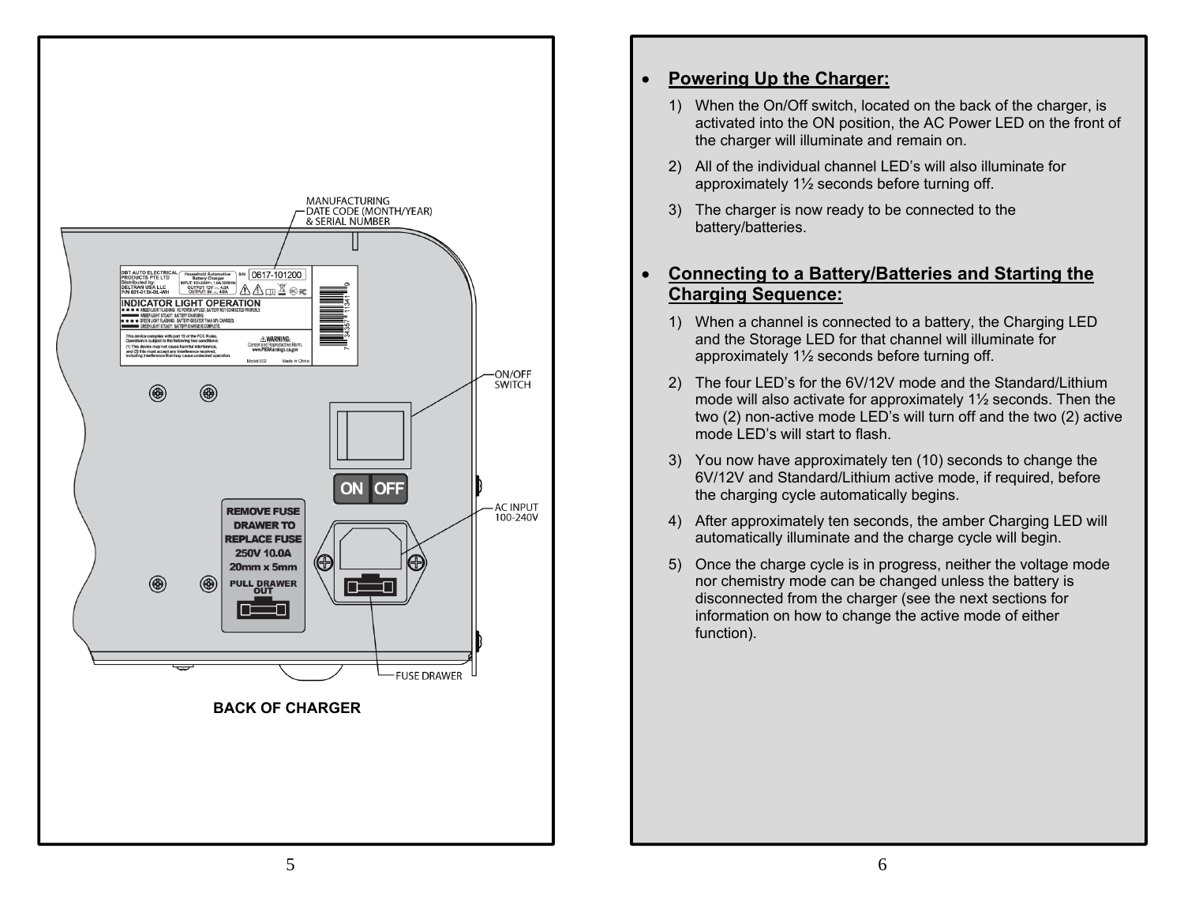

#### $\bullet$ **Powering Up the Charger:**

- 1) When the On/Off switch, located on the back of the charger, is activated into the ON position, the AC Power LED on the front of the charger will illuminate and remain on.
- 2) All of the individual channel LED's will also illuminate for approximately 1½ seconds before turning off.
- 3) The charger is now ready to be connected to the battery/batteries.

### $\bullet$  **Connecting to a Battery/Batteries and Starting the Charging Sequence:**

- 1) When a channel is connected to a battery, the Charging LED and the Storage LED for that channel will illuminate for approximately 1½ seconds before turning off.
- 2) The four LED's for the 6V/12V mode and the Standard/Lithium mode will also activate for approximately 1½ seconds. Then the two (2) non-active mode LED's will turn off and the two (2) active mode LED's will start to flash.
- 3) You now have approximately ten (10) seconds to change the 6V/12V and Standard/Lithium active mode, if required, before the charging cycle automatically begins.
- 4) After approximately ten seconds, the amber Charging LED will automatically illuminate and the charge cycle will begin.
- 5) Once the charge cycle is in progress, neither the voltage mode nor chemistry mode can be changed unless the battery is disconnected from the charger (see the next sections for information on how to change the active mode of either function).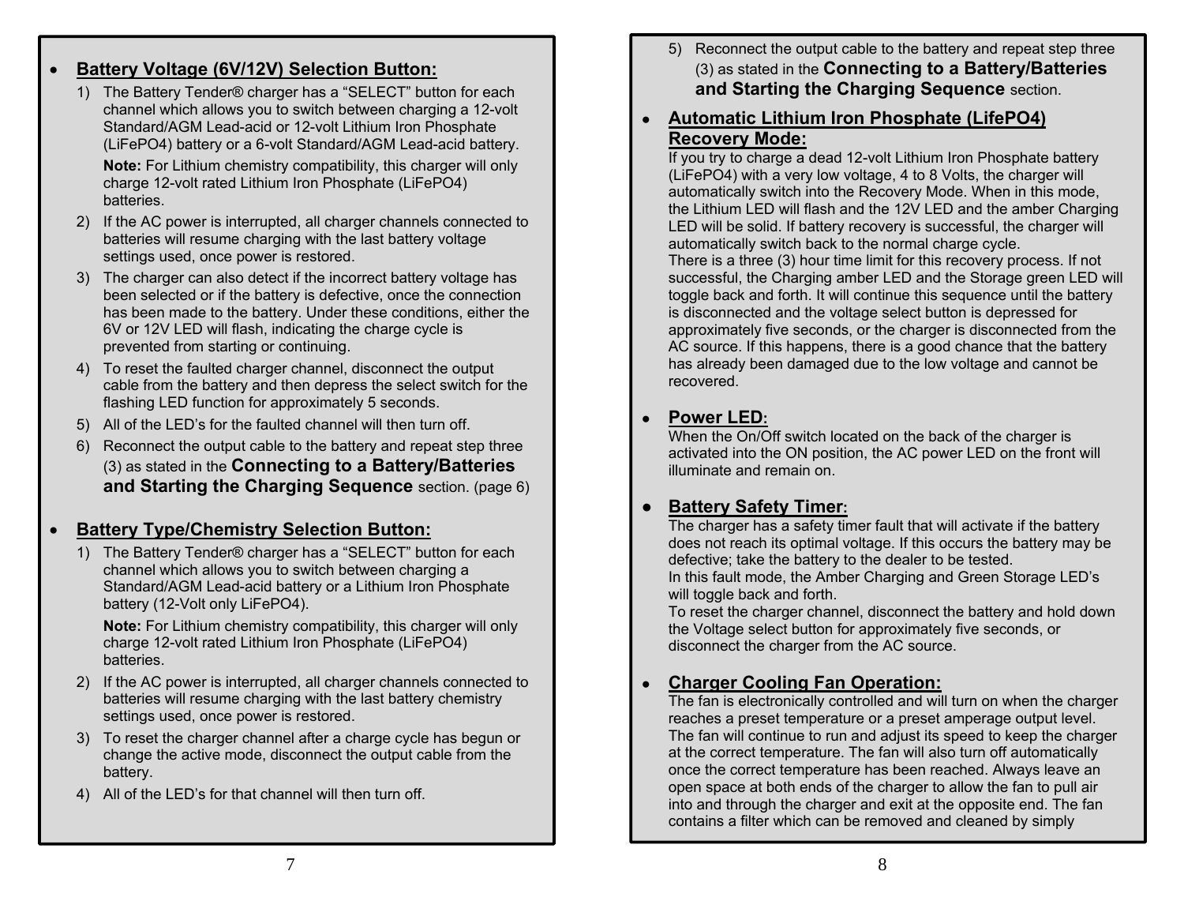#### $\bullet$ **Battery Voltage (6V/12V) Selection Button:**

1) The Battery Tender® charger has a "SELECT" button for each channel which allows you to switch between charging a 12-volt Standard/AGM Lead-acid or 12-volt Lithium Iron Phosphate (LiFePO4) battery or a 6-volt Standard/AGM Lead-acid battery.

**Note:** For Lithium chemistry compatibility, this charger will only charge 12-volt rated Lithium Iron Phosphate (LiFePO4) batteries.

- 2) If the AC power is interrupted, all charger channels connected to batteries will resume charging with the last battery voltage settings used, once power is restored.
- 3) The charger can also detect if the incorrect battery voltage has been selected or if the battery is defective, once the connection has been made to the battery. Under these conditions, either the 6V or 12V LED will flash, indicating the charge cycle is prevented from starting or continuing.
- 4) To reset the faulted charger channel, disconnect the output cable from the battery and then depress the select switch for the flashing LED function for approximately 5 seconds.
- 5) All of the LED's for the faulted channel will then turn off.
- 6) Reconnect the output cable to the battery and repeat step three (3) as stated in the **Connecting to a Battery/Batteries and Starting the Charging Sequence** section. (page 6)

### $\bullet$ **Battery Type/Chemistry Selection Button:**

1) The Battery Tender® charger has a "SELECT" button for each channel which allows you to switch between charging a Standard/AGM Lead-acid battery or a Lithium Iron Phosphate battery (12-Volt only LiFePO4).

**Note:** For Lithium chemistry compatibility, this charger will only charge 12-volt rated Lithium Iron Phosphate (LiFePO4) batteries.

- 2) If the AC power is interrupted, all charger channels connected to batteries will resume charging with the last battery chemistry settings used, once power is restored.
- 3) To reset the charger channel after a charge cycle has begun or change the active mode, disconnect the output cable from the battery.
- 4) All of the LED's for that channel will then turn off.
- 5) Reconnect the output cable to the battery and repeat step three (3) as stated in the **Connecting to a Battery/Batteries and Starting the Charging Sequence** section.
- **● Automatic Lithium Iron Phosphate (LifePO4) Recovery Mode:**

If you try to charge a dead 12-volt Lithium Iron Phosphate battery (LiFePO4) with a very low voltage, 4 to 8 Volts, the charger will automatically switch into the Recovery Mode. When in this mode, the Lithium LED will flash and the 12V LED and the amber Charging LED will be solid. If battery recovery is successful, the charger will automatically switch back to the normal charge cycle. There is a three (3) hour time limit for this recovery process. If not successful, the Charging amber LED and the Storage green LED will toggle back and forth. It will continue this sequence until the battery is disconnected and the voltage select button is depressed for approximately five seconds, or the charger is disconnected from the AC source. If this happens, there is a good chance that the battery has already been damaged due to the low voltage and cannot be recovered.

#### ●**Power LED:**

 When the On/Off switch located on the back of the charger is activated into the ON position, the AC power LED on the front will illuminate and remain on.

## **● Battery Safety Timer:**

The charger has a safety timer fault that will activate if the battery does not reach its optimal voltage. If this occurs the battery may be defective; take the battery to the dealer to be tested. In this fault mode, the Amber Charging and Green Storage LED's

will toggle back and forth.

To reset the charger channel, disconnect the battery and hold down the Voltage select button for approximately five seconds, or disconnect the charger from the AC source.

### ●**Charger Cooling Fan Operation:**

The fan is electronically controlled and will turn on when the charger reaches a preset temperature or a preset amperage output level. The fan will continue to run and adjust its speed to keep the charger at the correct temperature. The fan will also turn off automatically once the correct temperature has been reached. Always leave an open space at both ends of the charger to allow the fan to pull air into and through the charger and exit at the opposite end. The fan contains a filter which can be removed and cleaned by simply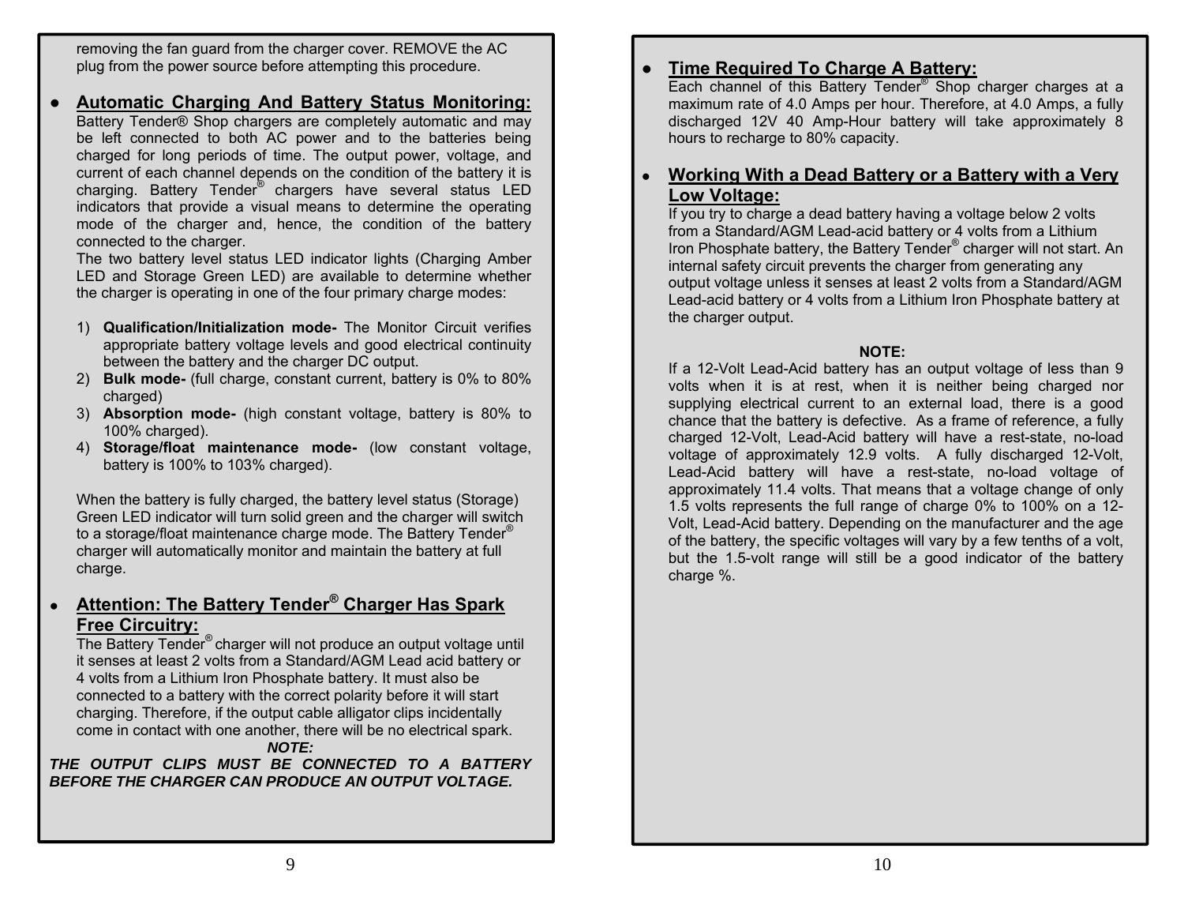removing the fan guard from the charger cover. REMOVE the AC plug from the power source before attempting this procedure.

## ● **Automatic Charging And Battery Status Monitoring:**

Battery Tender® Shop chargers are completely automatic and may be left connected to both AC power and to the batteries being charged for long periods of time. The output power, voltage, and current of each channel depends on the condition of the battery it is charging. Battery Tender® chargers have several status LED indicators that provide a visual means to determine the operating mode of the charger and, hence, the condition of the battery connected to the charger.

The two battery level status LED indicator lights (Charging Amber LED and Storage Green LED) are available to determine whether the charger is operating in one of the four primary charge modes:

- 1) **Qualification/Initialization mode-** The Monitor Circuit verifies appropriate battery voltage levels and good electrical continuity between the battery and the charger DC output.
- 2) **Bulk mode-** (full charge, constant current, battery is 0% to 80% charged)
- 3) **Absorption mode-** (high constant voltage, battery is 80% to 100% charged).
- 4) **Storage/float maintenance mode-** (low constant voltage, battery is 100% to 103% charged).

When the battery is fully charged, the battery level status (Storage) Green LED indicator will turn solid green and the charger will switch to a storage/float maintenance charge mode. The Battery Tender<sup>®</sup> charger will automatically monitor and maintain the battery at full charge.

### **● Attention: The Battery Tender® Charger Has Spark Free Circuitry:**

The Battery Tender® charger will not produce an output voltage until it senses at least 2 volts from a Standard/AGM Lead acid battery or 4 volts from a Lithium Iron Phosphate battery. It must also be connected to a battery with the correct polarity before it will start charging. Therefore, if the output cable alligator clips incidentally come in contact with one another, there will be no electrical spark.

### *NOTE:*

*THE OUTPUT CLIPS MUST BE CONNECTED TO A BATTERY BEFORE THE CHARGER CAN PRODUCE AN OUTPUT VOLTAGE.* 

## **● Time Required To Charge A Battery:**

Each channel of this Battery Tender® Shop charger charges at a maximum rate of 4.0 Amps per hour. Therefore, at 4.0 Amps, a fully discharged 12V 40 Amp-Hour battery will take approximately 8 hours to recharge to 80% capacity.

### ● **Working With a Dead Battery or a Battery with a Very Low Voltage:**

If you try to charge a dead battery having a voltage below 2 volts from a Standard/AGM Lead-acid battery or 4 volts from a Lithium Iron Phosphate battery, the Battery Tender® charger will not start. An internal safety circuit prevents the charger from generating any output voltage unless it senses at least 2 volts from a Standard/AGM Lead-acid battery or 4 volts from a Lithium Iron Phosphate battery at the charger output.

### **NOTE:**

If a 12-Volt Lead-Acid battery has an output voltage of less than 9 volts when it is at rest, when it is neither being charged nor supplying electrical current to an external load, there is a good chance that the battery is defective. As a frame of reference, a fully charged 12-Volt, Lead-Acid battery will have a rest-state, no-load voltage of approximately 12.9 volts. A fully discharged 12-Volt, Lead-Acid battery will have a rest-state, no-load voltage of approximately 11.4 volts. That means that a voltage change of only 1.5 volts represents the full range of charge 0% to 100% on a 12- Volt, Lead-Acid battery. Depending on the manufacturer and the age of the battery, the specific voltages will vary by a few tenths of a volt, but the 1.5-volt range will still be a good indicator of the battery charge %.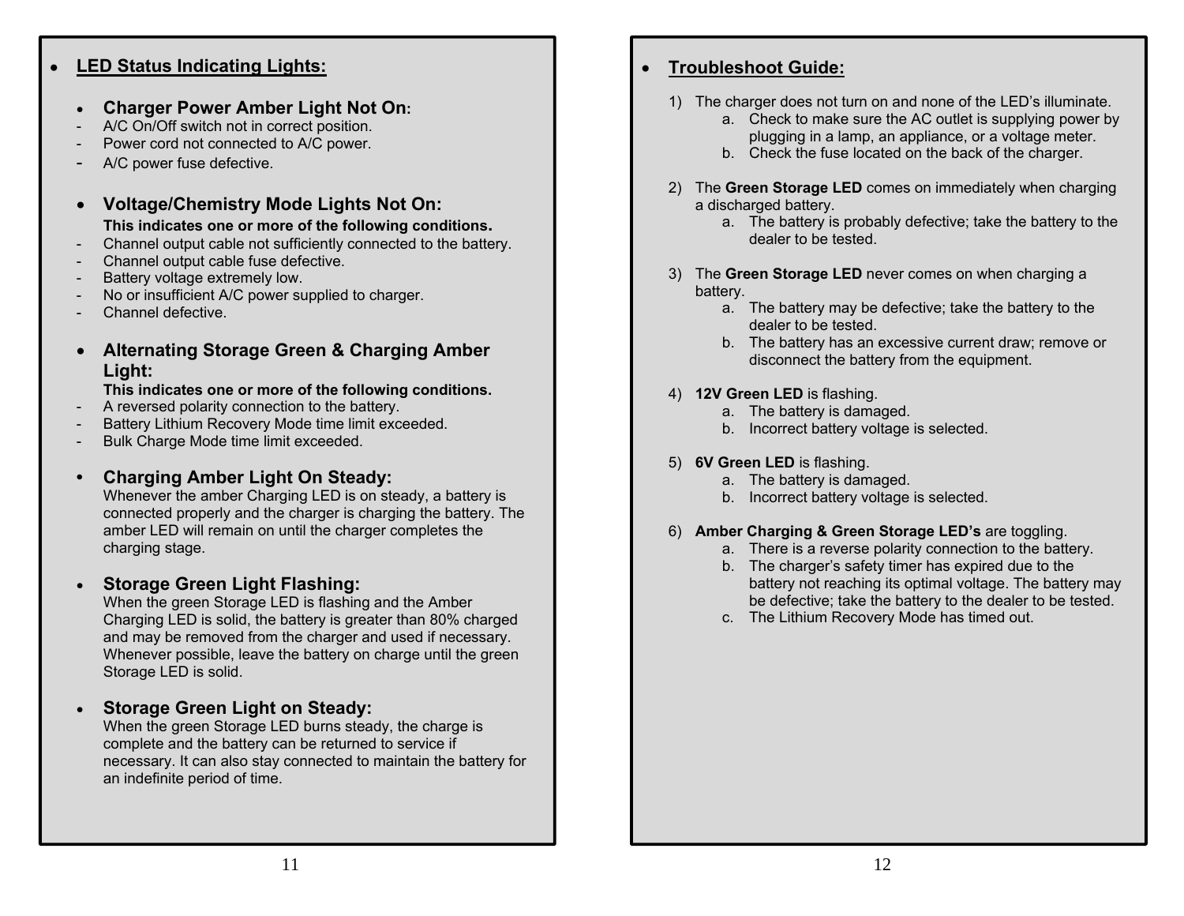#### **●LED Status Indicating Lights:**

## **Charger Power Amber Light Not On:**

- A/C On/Off switch not in correct position.
- Power cord not connected to A/C power.
- A/C power fuse defective.
- **Voltage/Chemistry Mode Lights Not On:**
- **This indicates one or more of the following conditions.**
- Channel output cable not sufficiently connected to the battery.
- Channel output cable fuse defective.
- Battery voltage extremely low.
- No or insufficient A/C power supplied to charger.
- Channel defective
- **Alternating Storage Green & Charging Amber Light:**

### **This indicates one or more of the following conditions.**

- A reversed polarity connection to the battery.
- Battery Lithium Recovery Mode time limit exceeded.
- Bulk Charge Mode time limit exceeded.

## **• Charging Amber Light On Steady:**

Whenever the amber Charging LED is on steady, a battery is connected properly and the charger is charging the battery. The amber LED will remain on until the charger completes the charging stage.

#### . **Storage Green Light Flashing:**

When the green Storage LED is flashing and the Amber Charging LED is solid, the battery is greater than 80% charged and may be removed from the charger and used if necessary. Whenever possible, leave the battery on charge until the green Storage LED is solid.

#### . **Storage Green Light on Steady:**

When the green Storage LED burns steady, the charge is complete and the battery can be returned to service if necessary. It can also stay connected to maintain the battery for an indefinite period of time.

#### $\bullet$ **Troubleshoot Guide:**

- 1) The charger does not turn on and none of the LED's illuminate.
	- a. Check to make sure the AC outlet is supplying power by plugging in a lamp, an appliance, or a voltage meter.
	- b. Check the fuse located on the back of the charger.
- 2) The **Green Storage LED** comes on immediately when charging a discharged battery.
	- a. The battery is probably defective; take the battery to the dealer to be tested.
- 3) The **Green Storage LED** never comes on when charging a battery.
	- a. The battery may be defective; take the battery to the dealer to be tested.
	- b. The battery has an excessive current draw; remove or disconnect the battery from the equipment.

### 4) **12V Green LED** is flashing.

- a. The battery is damaged.
- b. Incorrect battery voltage is selected.

## 5) **6V Green LED** is flashing.

- a. The battery is damaged.
- b. Incorrect battery voltage is selected.

### 6) **Amber Charging & Green Storage LED's** are toggling.

- a. There is a reverse polarity connection to the battery.
- b. The charger's safety timer has expired due to the battery not reaching its optimal voltage. The battery may be defective; take the battery to the dealer to be tested.
- c. The Lithium Recovery Mode has timed out.